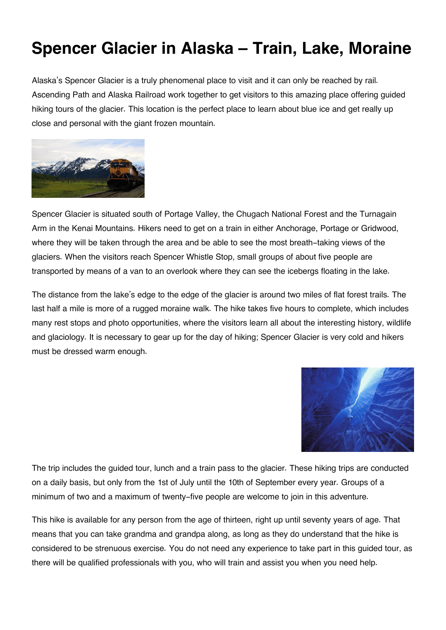## **Spencer Glacier in Alaska – Train, Lake, Moraine**

Alaska's Spencer Glacier is a truly phenomenal place to visit and it can only be reached by rail. Ascending Path and Alaska Railroad work together to get visitors to this amazing place offering guided hiking tours of the glacier. This location is the perfect place to learn about blue ice and get really up close and personal with the giant frozen mountain.



Spencer Glacier is situated south of Portage Valley, the Chugach National Forest and the Turnagain Arm in the Kenai Mountains. Hikers need to get on a train in either Anchorage, Portage or Gridwood, where they will be taken through the area and be able to see the most breath-taking views of the glaciers. When the visitors reach Spencer Whistle Stop, small groups of about five people are transported by means of a van to an overlook where they can see the icebergs floating in the lake.

The distance from the lake's edge to the edge of the glacier is around two miles of flat forest trails. The last half a mile is more of a rugged moraine walk. The hike takes five hours to complete, which includes many rest stops and photo opportunities, where the visitors learn all about the interesting history, wildlife and glaciology. It is necessary to gear up for the day of hiking; Spencer Glacier is very cold and hikers must be dressed warm enough.



The trip includes the guided tour, lunch and a train pass to the glacier. These hiking trips are conducted on a daily basis, but only from the 1st of July until the 10th of September every year. Groups of a minimum of two and a maximum of twenty-five people are welcome to join in this adventure.

This hike is available for any person from the age of thirteen, right up until seventy years of age. That means that you can take grandma and grandpa along, as long as they do understand that the hike is considered to be strenuous exercise. You do not need any experience to take part in this guided tour, as there will be qualified professionals with you, who will train and assist you when you need help.